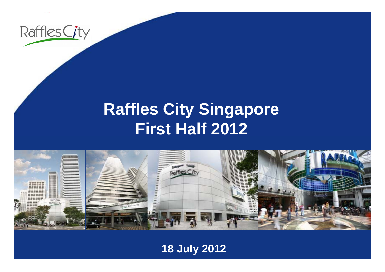

### **R ffl Cit Si affles City Singapore First Half 2012**



**18 July 2012**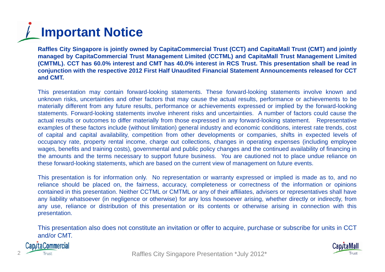# **Important Notice**

Raffles City Singapore is jointly owned by CapitaCommercial Trust (CCT) and CapitaMall Trust (CMT) and jointly managed by CapitaCommercial Trust Management Limited (CCTML) and CapitaMall Trust Management Limited (CMTML). CCT has 60.0% interest and CMT has 40.0% interest in RCS Trust. This presentation shall be read in conjunction with the respective 2012 First Half Unaudited Financial Statement Announcements released for CCT **and CMT.**

This presentation may contain forward-looking statements. These forward-looking statements involve known and unknown risks, uncertainties and other factors that may cause the actual results, performance or achievements to be materially different from any future results, performance or achievements expressed or implied by the forward-looking statements. Forward-looking statements involve inherent risks and uncertainties. A number of factors could cause the actual results or outcomes to differ materially from those expressed in any forward-looking statement. Representative examples of these factors include (without limitation) general industry and economic conditions, interest rate trends, cost of capital and capital availability, competition from other developments or companies, shifts in expected levels of occupancy rate, property rental income, charge out collections, changes in operating expenses (including employee wages, benefits and training costs), governmental and public policy changes and the continued availability of financing in the amounts and the terms necessary to support future business. You are cautioned not to place undue reliance on these forward-looking statements, which are based on the current view of management on future events.

This presentation is for information only. No representation or warranty expressed or implied is made as to, and no reliance should be placed on, the fairness, accuracy, completeness or correctness of the information or opinions contained in this presentation. Neither CCTML or CMTML or any of their affiliates, advisers or representatives shall have any liability what soever (in negligence or otherwise) for any loss howsoever arising, whether directly or indirectly, from any use, reliance or distribution of this presentation or its contents or otherwise arising in connection with this presentation.

This presentation also does not constitute an invitation or offer to acquire, purchase or subscribe for units in CCT and/or CMT.



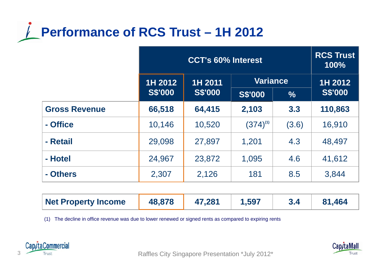### **Performance of RCS Trust – 1H 2012**

|                      | <b>CCT's 60% Interest</b> |                |                 | <b>RCS Trust</b><br>100% |                |
|----------------------|---------------------------|----------------|-----------------|--------------------------|----------------|
|                      | 1H 2012<br>1H 2011        |                | <b>Variance</b> |                          | 1H 2012        |
|                      | <b>S\$'000</b>            | <b>S\$'000</b> | <b>S\$'000</b>  | $\frac{0}{0}$            | <b>S\$'000</b> |
| <b>Gross Revenue</b> | 66,518                    | 64,415         | 2,103           | 3.3                      | 110,863        |
| - Office             | 10,146                    | 10,520         | $(374)^{(1)}$   | (3.6)                    | 16,910         |
| - Retail             | 29,098                    | 27,897         | 1,201           | 4.3                      | 48,497         |
| - Hotel              | 24,967                    | 23,872         | 1,095           | 4.6                      | 41,612         |
| - Others             | 2,307                     | 2,126          | 181             | 8.5                      | 3,844          |

| <b>Net Property Income</b> | 48,878 | 47,281 | , 597 |  | 81.464 |
|----------------------------|--------|--------|-------|--|--------|
|----------------------------|--------|--------|-------|--|--------|

(1) The decline in office revenue was due to lower renewed or signed rents as compared to expiring rents



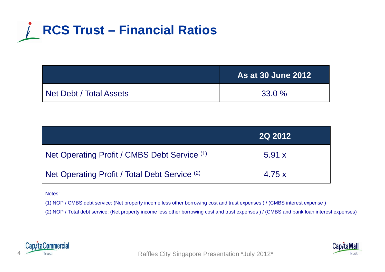

|                         | <b>As at 30 June 2012</b> |
|-------------------------|---------------------------|
| Net Debt / Total Assets | $33.0 \%$                 |

|                                               | <b>2Q 2012</b> |
|-----------------------------------------------|----------------|
| Net Operating Profit / CMBS Debt Service (1)  | 5.91 x         |
| Net Operating Profit / Total Debt Service (2) | 4.75x          |

Notes:

(1) NOP / CMBS debt service: (Net property income less other borrowing cost and trust expenses ) / (CMBS interest expense )

(2) NOP / Total debt service: (Net property income less other borrowing cost and trust expenses ) / (CMBS and bank loan interest expenses)



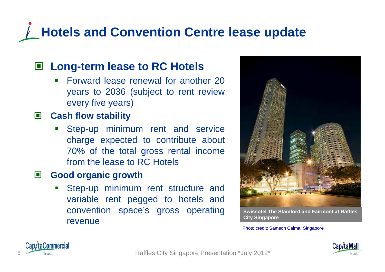### **Hotels and Convention Centre lease update**

#### **Long-term lease to RC Hotels**

 $\mathbf{r}$  Forward lease renewal for another 20years to 2036 (subject to rent review every five years)

#### $\Box$ **Cash flow stability**

**Step-up minimum rent and service** charge expected to contribute about 70% of the total gross rental income from the lease to RC Hotels

#### O **Good organic growth**

**Service Service**  Step-up minimum rent structure and variable rent pegged to hotels and convention space's gross operating revenue



**Swissotel The Stamford and Fairmont at Raffles City Singapore**

Photo credit: Samson Calma, Singapore





taCommercial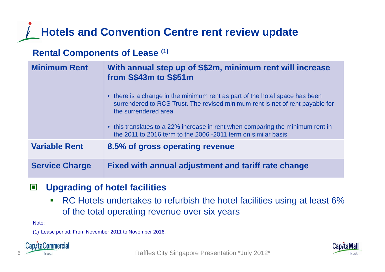#### **Hotels and Convention Centre rent review update**

#### **Rental Components of Lease (1)**

| <b>Minimum Rent</b>   | With annual step up of S\$2m, minimum rent will increase<br>from S\$43m to S\$51m                                                                                                    |
|-----------------------|--------------------------------------------------------------------------------------------------------------------------------------------------------------------------------------|
|                       | • there is a change in the minimum rent as part of the hotel space has been<br>surrendered to RCS Trust. The revised minimum rent is net of rent payable for<br>the surrendered area |
|                       | • this translates to a 22% increase in rent when comparing the minimum rent in<br>the 2011 to 2016 term to the 2006 -2011 term on similar basis                                      |
| <b>Variable Rent</b>  | 8.5% of gross operating revenue                                                                                                                                                      |
| <b>Service Charge</b> | Fixed with annual adjustment and tariff rate change                                                                                                                                  |

#### $\Box$ **Upgrading of hotel facilities**

 $\blacksquare$ • RC Hotels undertakes to refurbish the hotel facilities using at least 6% of the total operating revenue over six years

Note:

(1) Lease period: From November 2011 to November 2016.



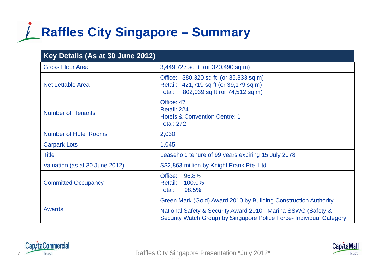## **Raffles City Singapore – Summary**

| Key Details (As at 30 June 2012) |                                                                                                                                       |
|----------------------------------|---------------------------------------------------------------------------------------------------------------------------------------|
| <b>Gross Floor Area</b>          | 3,449,727 sq ft (or 320,490 sq m)                                                                                                     |
| <b>Net Lettable Area</b>         | Office: 380,320 sq ft (or 35,333 sq m)<br>Retail: 421,719 sq ft (or 39,179 sq m)<br>802,039 sq ft (or 74,512 sq m)<br>Total:          |
| <b>Number of Tenants</b>         | Office: 47<br>Retail: 224<br><b>Hotels &amp; Convention Centre: 1</b><br><b>Total: 272</b>                                            |
| <b>Number of Hotel Rooms</b>     | 2,030                                                                                                                                 |
| <b>Carpark Lots</b>              | 1,045                                                                                                                                 |
| <b>Title</b>                     | Leasehold tenure of 99 years expiring 15 July 2078                                                                                    |
| Valuation (as at 30 June 2012)   | S\$2,863 million by Knight Frank Pte. Ltd.                                                                                            |
| <b>Committed Occupancy</b>       | Office:<br>96.8%<br>100.0%<br>Retail:<br>98.5%<br>Total:                                                                              |
|                                  | Green Mark (Gold) Award 2010 by Building Construction Authority                                                                       |
| <b>Awards</b>                    | National Safety & Security Award 2010 - Marina SSWG (Safety &<br>Security Watch Group) by Singapore Police Force- Individual Category |

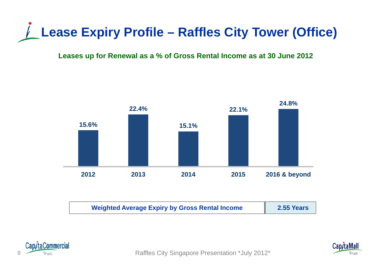

#### **Leases up for Renewal as a % of Gross Rental Income as at 30 June 2012**



| <b>Weighted Average Expiry by Gross Rental Income</b> | 2.55 Years |
|-------------------------------------------------------|------------|
|-------------------------------------------------------|------------|





Trust **Trust Raffles City Singapore Presentation \*July 2012\*** Raffles City Singapore Presentation \*July 2012\*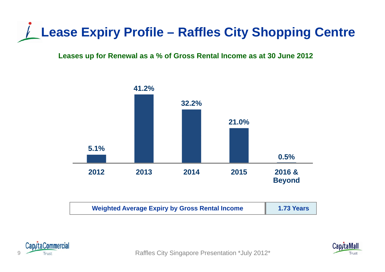## **Lease Expiry Profile – Raffles City Shopping Centre**

**Leases up for Renewal as a % of Gross Rental Income as at 30 June 2012**







a Trust Trust City Singapore Presentation \*July 2012\*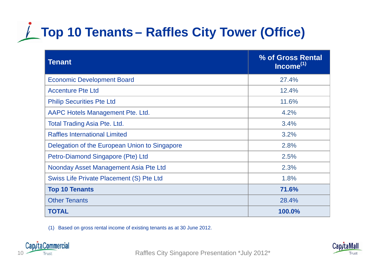## **Top 10 Tenants – Raffles City Tower (Office)**

| <b>Tenant</b>                                 | % of Gross Rental<br>Income <sup>(1)</sup> |
|-----------------------------------------------|--------------------------------------------|
| <b>Economic Development Board</b>             | 27.4%                                      |
| <b>Accenture Pte Ltd</b>                      | 12.4%                                      |
| <b>Philip Securities Pte Ltd</b>              | 11.6%                                      |
| AAPC Hotels Management Pte. Ltd.              | 4.2%                                       |
| <b>Total Trading Asia Pte. Ltd.</b>           | 3.4%                                       |
| <b>Raffles International Limited</b>          | 3.2%                                       |
| Delegation of the European Union to Singapore | 2.8%                                       |
| Petro-Diamond Singapore (Pte) Ltd             | 2.5%                                       |
| Noonday Asset Management Asia Pte Ltd         | 2.3%                                       |
| Swiss Life Private Placement (S) Pte Ltd      | 1.8%                                       |
| <b>Top 10 Tenants</b>                         | 71.6%                                      |
| <b>Other Tenants</b>                          | 28.4%                                      |
| <b>TOTAL</b>                                  | 100.0%                                     |

(1) Based on gross rental income of existing tenants as at 30 June 2012.



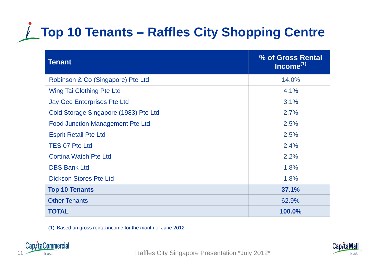# **★ Top 10 Tenants – Raffles City Shopping Centre**

| <b>Tenant</b>                           | % of Gross Rental<br>Income <sup>(1)</sup> |
|-----------------------------------------|--------------------------------------------|
| Robinson & Co (Singapore) Pte Ltd       | 14.0%                                      |
| Wing Tai Clothing Pte Ltd               | 4.1%                                       |
| <b>Jay Gee Enterprises Pte Ltd</b>      | 3.1%                                       |
| Cold Storage Singapore (1983) Pte Ltd   | 2.7%                                       |
| <b>Food Junction Management Pte Ltd</b> | 2.5%                                       |
| <b>Esprit Retail Pte Ltd</b>            | 2.5%                                       |
| <b>TES 07 Pte Ltd</b>                   | 2.4%                                       |
| <b>Cortina Watch Pte Ltd</b>            | 2.2%                                       |
| <b>DBS Bank Ltd</b>                     | 1.8%                                       |
| <b>Dickson Stores Pte Ltd</b>           | 1.8%                                       |
| <b>Top 10 Tenants</b>                   | 37.1%                                      |
| <b>Other Tenants</b>                    | 62.9%                                      |
| <b>TOTAL</b>                            | 100.0%                                     |

(1) Based on gross rental income for the month of June 2012.



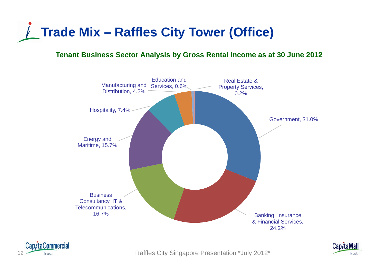

#### **Tenant Business Sector Analysis by Gross Rental Income as at 30 June 2012**



![](_page_11_Picture_3.jpeg)

![](_page_11_Picture_5.jpeg)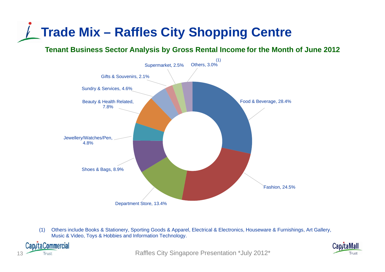### **Trade Mix – Raffles City Shopping Centre**

**Tenant Business Sector Analysis by Gross Rental Income for the Month of June 2012**

![](_page_12_Figure_2.jpeg)

(1) Others include Books & Stationery, Sporting Goods & Apparel, Electrical & Electronics, Houseware & Furnishings, Art Gallery, Music & Video, Toys & Hobbies and Information Technology.

![](_page_12_Picture_4.jpeg)

Trust Trust Trust City Singapore Presentation \*July 2012\*

![](_page_12_Picture_6.jpeg)